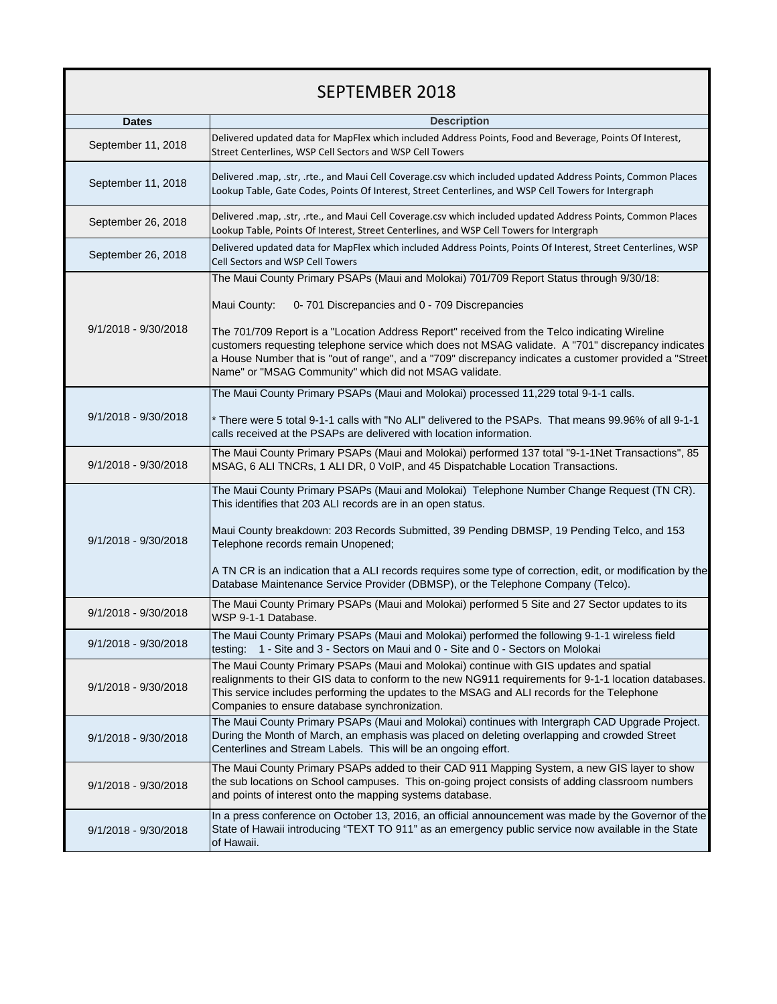## SEPTEMBER 2018

|                      | <b>Description</b>                                                                                                                                                                                                                                                                                                                                                      |
|----------------------|-------------------------------------------------------------------------------------------------------------------------------------------------------------------------------------------------------------------------------------------------------------------------------------------------------------------------------------------------------------------------|
| <b>Dates</b>         |                                                                                                                                                                                                                                                                                                                                                                         |
| September 11, 2018   | Delivered updated data for MapFlex which included Address Points, Food and Beverage, Points Of Interest,<br>Street Centerlines, WSP Cell Sectors and WSP Cell Towers                                                                                                                                                                                                    |
| September 11, 2018   | Delivered .map, .str, .rte., and Maui Cell Coverage.csv which included updated Address Points, Common Places<br>Lookup Table, Gate Codes, Points Of Interest, Street Centerlines, and WSP Cell Towers for Intergraph                                                                                                                                                    |
| September 26, 2018   | Delivered .map, .str, .rte., and Maui Cell Coverage.csv which included updated Address Points, Common Places<br>Lookup Table, Points Of Interest, Street Centerlines, and WSP Cell Towers for Intergraph                                                                                                                                                                |
| September 26, 2018   | Delivered updated data for MapFlex which included Address Points, Points Of Interest, Street Centerlines, WSP<br>Cell Sectors and WSP Cell Towers                                                                                                                                                                                                                       |
| 9/1/2018 - 9/30/2018 | The Maui County Primary PSAPs (Maui and Molokai) 701/709 Report Status through 9/30/18:                                                                                                                                                                                                                                                                                 |
|                      | 0-701 Discrepancies and 0 - 709 Discrepancies<br>Maui County:                                                                                                                                                                                                                                                                                                           |
|                      | The 701/709 Report is a "Location Address Report" received from the Telco indicating Wireline<br>customers requesting telephone service which does not MSAG validate. A "701" discrepancy indicates<br>a House Number that is "out of range", and a "709" discrepancy indicates a customer provided a "Street<br>Name" or "MSAG Community" which did not MSAG validate. |
|                      | The Maui County Primary PSAPs (Maui and Molokai) processed 11,229 total 9-1-1 calls.                                                                                                                                                                                                                                                                                    |
| 9/1/2018 - 9/30/2018 | * There were 5 total 9-1-1 calls with "No ALI" delivered to the PSAPs. That means 99.96% of all 9-1-1<br>calls received at the PSAPs are delivered with location information.                                                                                                                                                                                           |
| 9/1/2018 - 9/30/2018 | The Maui County Primary PSAPs (Maui and Molokai) performed 137 total "9-1-1Net Transactions", 85<br>MSAG, 6 ALI TNCRs, 1 ALI DR, 0 VoIP, and 45 Dispatchable Location Transactions.                                                                                                                                                                                     |
| 9/1/2018 - 9/30/2018 | The Maui County Primary PSAPs (Maui and Molokai) Telephone Number Change Request (TN CR).<br>This identifies that 203 ALI records are in an open status.<br>Maui County breakdown: 203 Records Submitted, 39 Pending DBMSP, 19 Pending Telco, and 153<br>Telephone records remain Unopened;                                                                             |
|                      | A TN CR is an indication that a ALI records requires some type of correction, edit, or modification by the<br>Database Maintenance Service Provider (DBMSP), or the Telephone Company (Telco).                                                                                                                                                                          |
| 9/1/2018 - 9/30/2018 | The Maui County Primary PSAPs (Maui and Molokai) performed 5 Site and 27 Sector updates to its<br>WSP 9-1-1 Database.                                                                                                                                                                                                                                                   |
| 9/1/2018 - 9/30/2018 | The Maui County Primary PSAPs (Maui and Molokai) performed the following 9-1-1 wireless field<br>testing: 1 - Site and 3 - Sectors on Maui and 0 - Site and 0 - Sectors on Molokai                                                                                                                                                                                      |
| 9/1/2018 - 9/30/2018 | The Maui County Primary PSAPs (Maui and Molokai) continue with GIS updates and spatial<br>realignments to their GIS data to conform to the new NG911 requirements for 9-1-1 location databases.<br>This service includes performing the updates to the MSAG and ALI records for the Telephone<br>Companies to ensure database synchronization.                          |
| 9/1/2018 - 9/30/2018 | The Maui County Primary PSAPs (Maui and Molokai) continues with Intergraph CAD Upgrade Project.<br>During the Month of March, an emphasis was placed on deleting overlapping and crowded Street<br>Centerlines and Stream Labels. This will be an ongoing effort.                                                                                                       |
| 9/1/2018 - 9/30/2018 | The Maui County Primary PSAPs added to their CAD 911 Mapping System, a new GIS layer to show<br>the sub locations on School campuses. This on-going project consists of adding classroom numbers<br>and points of interest onto the mapping systems database.                                                                                                           |
| 9/1/2018 - 9/30/2018 | In a press conference on October 13, 2016, an official announcement was made by the Governor of the<br>State of Hawaii introducing "TEXT TO 911" as an emergency public service now available in the State<br>of Hawaii.                                                                                                                                                |